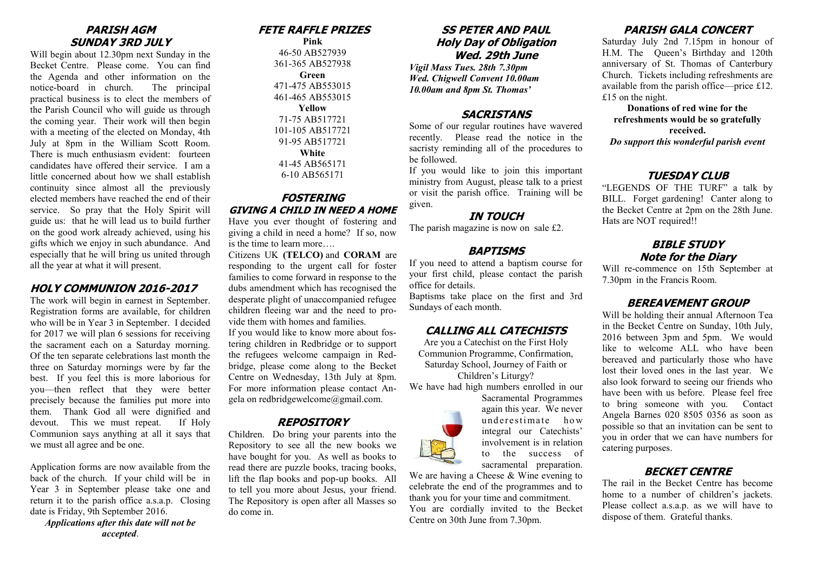#### **PARISH AGM SUNDAY 3RD JULY**

Will begin about 12.30pm next Sunday in the Becket Centre. Please come. You can find the Agenda and other information on the notice-board in church. The principal practical business is to elect the members of the Parish Council who will guide us through the coming year. Their work will then begin with a meeting of the elected on Monday, 4th July at 8pm in the William Scott Room. There is much enthusiasm evident: fourteen candidates have offered their service. I am a little concerned about how we shall establish continuity since almost all the previously elected members have reached the end of their service. So pray that the Holy Spirit will guide us: that he will lead us to build further on the good work already achieved, using his gifts which we enjoy in such abundance. And especially that he will bring us united through all the year at what it will present.

#### **HOLY COMMUNION 2016-2017**

The work will begin in earnest in September. Registration forms are available, for children who will be in Year 3 in September. I decided for 2017 we will plan 6 sessions for receiving the sacrament each on a Saturday morning. Of the ten separate celebrations last month the three on Saturday mornings were by far the best. If you feel this is more laborious for you—then reflect that they were better precisely because the families put more into them. Thank God all were dignified and devout. This we must repeat. If Holy Communion says anything at all it says that we must all agree and be one.

Application forms are now available from the back of the church. If your child will be in Year 3 in September please take one and return it to the parish office a.s.a.p. Closing date is Friday, 9th September 2016.

*Applications after this date will not be accepted*.

# **FETE RAFFLE PRIZES**

**Pink** 46-50 AB527939 361-365 AB527938 **Green** 471-475 AB553015 461-465 AB553015 **Yellow** 71-75 AB517721 101-105 AB517721 91-95 AB517721 **White** 41-45 AB565171 6-10 AB565171

### **FOSTERING GIVING A CHILD IN NEED A HOME**

Have you ever thought of fostering and giving a child in need a home? If so, now is the time to learn more….

Citizens UK **(TELCO)** and **CORAM** are responding to the urgent call for foster families to come forward in response to the dubs amendment which has recognised the desperate plight of unaccompanied refugee children fleeing war and the need to provide them with homes and families.

If you would like to know more about fostering children in Redbridge or to support the refugees welcome campaign in Redbridge, please come along to the Becket Centre on Wednesday, 13th July at 8pm. For more information please contact Angela on redbridgewelcome@gmail.com.

## **REPOSITORY**

Children. Do bring your parents into the Repository to see all the new books we have bought for you. As well as books to read there are puzzle books, tracing books, lift the flap books and pop-up books. All to tell you more about Jesus, your friend. The Repository is open after all Masses so do come in.

#### **SS PETER AND PAUL Holy Day of Obligation Wed. 29th June**

*Vigil Mass Tues. 28th 7.30pm Wed. Chigwell Convent 10.00am 10.00am and 8pm St. Thomas'*

#### **SACRISTANS**

Some of our regular routines have wavered recently. Please read the notice in the sacristy reminding all of the procedures to be followed.

If you would like to join this important ministry from August, please talk to a priest or visit the parish office. Training will be given.

#### **IN TOUCH**

The parish magazine is now on sale £2.

### **BAPTISMS**

If you need to attend a baptism course for your first child, please contact the parish office for details.

Baptisms take place on the first and 3rd Sundays of each month.

## **CALLING ALL CATECHISTS**

Are you a Catechist on the First Holy Communion Programme, Confirmation, Saturday School, Journey of Faith or Children's Liturgy?

We have had high numbers enrolled in our



We are having a Cheese & Wine evening to celebrate the end of the programmes and to thank you for your time and commitment. You are cordially invited to the Becket Centre on 30th June from 7.30pm.

## **PARISH GALA CONCERT**

Saturday July 2nd 7.15pm in honour of H.M. The Queen's Birthday and 120th anniversary of St. Thomas of Canterbury Church. Tickets including refreshments are available from the parish office—price £12. £15 on the night.

**Donations of red wine for the refreshments would be so gratefully received.**  *Do support this wonderful parish event*

#### **TUESDAY CLUB**

"LEGENDS OF THE TURF" a talk by BILL. Forget gardening! Canter along to the Becket Centre at 2pm on the 28th June. Hats are NOT required!!

# **BIBLE STUDY Note for the Diary**

Will re-commence on 15th September at 7.30pm in the Francis Room.

## **BEREAVEMENT GROUP**

Will be holding their annual Afternoon Tea in the Becket Centre on Sunday, 10th July, 2016 between 3pm and 5pm. We would like to welcome ALL who have been bereaved and particularly those who have lost their loved ones in the last year. We also look forward to seeing our friends who have been with us before. Please feel free to bring someone with you. Contact Angela Barnes 020 8505 0356 as soon as possible so that an invitation can be sent to you in order that we can have numbers for catering purposes.

## **BECKET CENTRE**

The rail in the Becket Centre has become home to a number of children's jackets. Please collect a.s.a.p. as we will have to dispose of them. Grateful thanks.